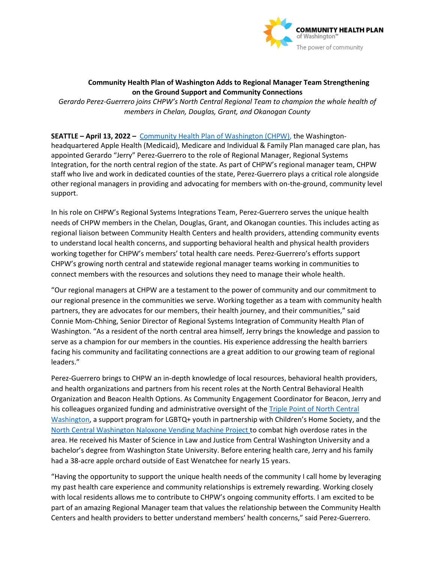

## **Community Health Plan of Washington Adds to Regional Manager Team Strengthening on the Ground Support and Community Connections**

*Gerardo Perez-Guerrero joins CHPW's North Central Regional Team to champion the whole health of members in Chelan, Douglas, Grant, and Okanogan County* 

## **SEATTLE – April 13, 2022 –** [Community Health Plan of Washington \(CHPW\),](http://www.chpw.org/) the Washingtonheadquartered Apple Health (Medicaid), Medicare and Individual & Family Plan managed care plan, has appointed Gerardo "Jerry" Perez-Guerrero to the role of Regional Manager, Regional Systems Integration, for the north central region of the state. As part of CHPW's regional manager team, CHPW staff who live and work in dedicated counties of the state, Perez-Guerrero plays a critical role alongside other regional managers in providing and advocating for members with on-the-ground, community level

support.

In his role on CHPW's Regional Systems Integrations Team, Perez-Guerrero serves the unique health needs of CHPW members in the Chelan, Douglas, Grant, and Okanogan counties. This includes acting as regional liaison between Community Health Centers and health providers, attending community events to understand local health concerns, and supporting behavioral health and physical health providers working together for CHPW's members' total health care needs. Perez-Guerrero's efforts support CHPW's growing north central and statewide regional manager teams working in communities to connect members with the resources and solutions they need to manage their whole health.

"Our regional managers at CHPW are a testament to the power of community and our commitment to our regional presence in the communities we serve. Working together as a team with community health partners, they are advocates for our members, their health journey, and their communities," said Connie Mom-Chhing, Senior Director of Regional Systems Integration of Community Health Plan of Washington. "As a resident of the north central area himself, Jerry brings the knowledge and passion to serve as a champion for our members in the counties. His experience addressing the health barriers facing his community and facilitating connections are a great addition to our growing team of regional leaders."

Perez-Guerrero brings to CHPW an in-depth knowledge of local resources, behavioral health providers, and health organizations and partners from his recent roles at the North Central Behavioral Health Organization and Beacon Health Options. As Community Engagement Coordinator for Beacon, Jerry and his colleagues organized funding and administrative oversight of the [Triple Point of North Central](https://www.facebook.com/triplepointncw/)  [Washington,](https://www.facebook.com/triplepointncw/) a support program for LGBTQ+ youth in partnership with Children's Home Society, and the [North Central Washington Naloxone Vending Machine Project](https://ncach.org/narcan-machines-wenatchee-moses-lake/?utm_source=rss&utm_medium=rss&utm_campaign=narcan-machines-wenatchee-moses-lake) to combat high overdose rates in the area. He received his Master of Science in Law and Justice from Central Washington University and a bachelor's degree from Washington State University. Before entering health care, Jerry and his family had a 38-acre apple orchard outside of East Wenatchee for nearly 15 years.

"Having the opportunity to support the unique health needs of the community I call home by leveraging my past health care experience and community relationships is extremely rewarding. Working closely with local residents allows me to contribute to CHPW's ongoing community efforts. I am excited to be part of an amazing Regional Manager team that values the relationship between the Community Health Centers and health providers to better understand members' health concerns," said Perez-Guerrero.